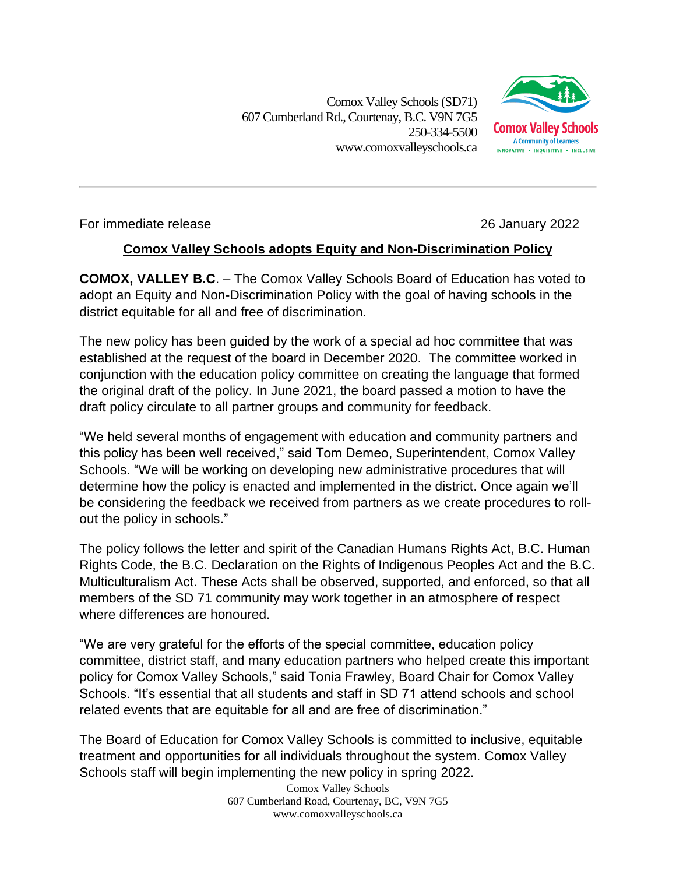Comox Valley Schools (SD71) 607 Cumberland Rd.,Courtenay, B.C. V9N 7G5 250-334-5500 www.comoxvalleyschools.ca



For immediate release 26 January 2022

## **Comox Valley Schools adopts Equity and Non-Discrimination Policy**

**COMOX, VALLEY B.C**. – The Comox Valley Schools Board of Education has voted to adopt an Equity and Non-Discrimination Policy with the goal of having schools in the district equitable for all and free of discrimination.

The new policy has been guided by the work of a special ad hoc committee that was established at the request of the board in December 2020. The committee worked in conjunction with the education policy committee on creating the language that formed the original draft of the policy. In June 2021, the board passed a motion to have the draft policy circulate to all partner groups and community for feedback.

"We held several months of engagement with education and community partners and this policy has been well received," said Tom Demeo, Superintendent, Comox Valley Schools. "We will be working on developing new administrative procedures that will determine how the policy is enacted and implemented in the district. Once again we'll be considering the feedback we received from partners as we create procedures to rollout the policy in schools."

The policy follows the letter and spirit of the Canadian Humans Rights Act, B.C. Human Rights Code, the B.C. Declaration on the Rights of Indigenous Peoples Act and the B.C. Multiculturalism Act. These Acts shall be observed, supported, and enforced, so that all members of the SD 71 community may work together in an atmosphere of respect where differences are honoured.

"We are very grateful for the efforts of the special committee, education policy committee, district staff, and many education partners who helped create this important policy for Comox Valley Schools," said Tonia Frawley, Board Chair for Comox Valley Schools. "It's essential that all students and staff in SD 71 attend schools and school related events that are equitable for all and are free of discrimination."

The Board of Education for Comox Valley Schools is committed to inclusive, equitable treatment and opportunities for all individuals throughout the system. Comox Valley Schools staff will begin implementing the new policy in spring 2022.